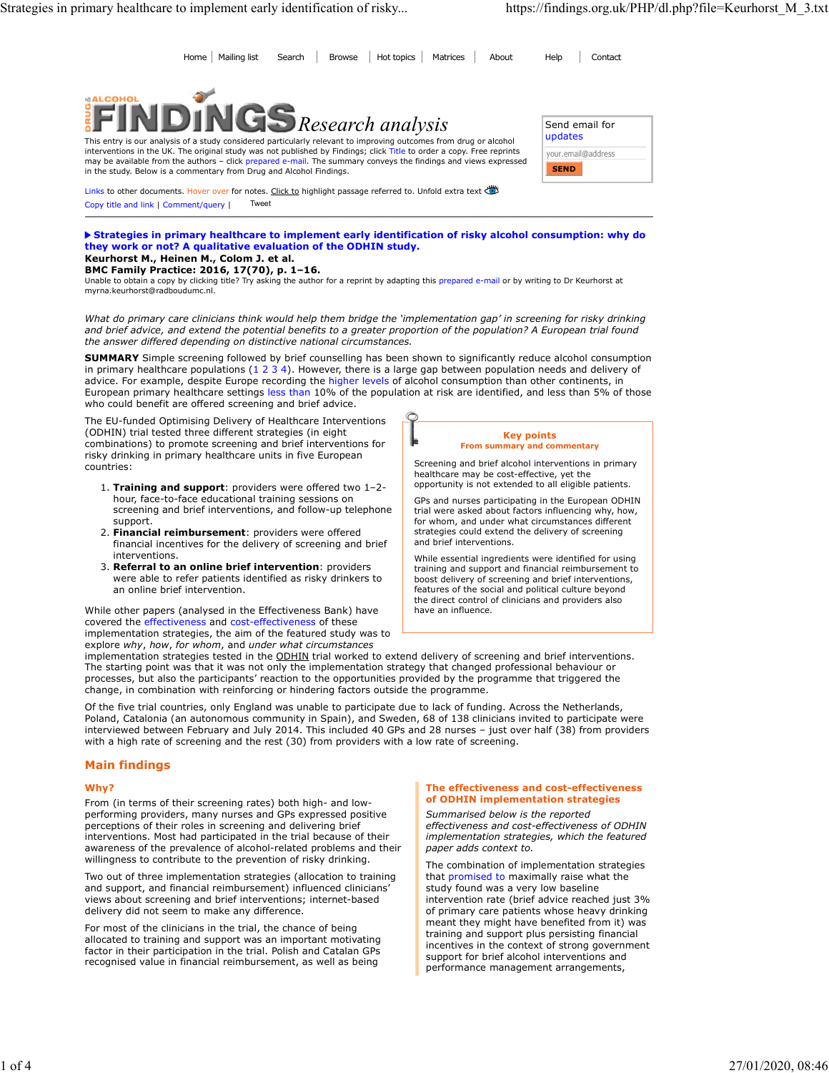Home Mailing list Search Browse Hot topics Matrices About Help Contact



This entry is our analysis of a study considered particularly relevant to improving outcomes from drug or alcohol interventions in the UK. The original study was not published by Findings; click Title to order a copy. Free reprints your email@address and the authors - included and the authors - click prepared e-mail. The summary conve in the study. Below is a commentary from Drug and Alcohol Findings.

Links to other documents. Hover over for notes. Click to highlight passage referred to. Unfold extra text Copy title and link | Comment/query | Tweet

Strategies in primary healthcare to implement early identification of risky alcohol consumption: why do they work or not? A qualitative evaluation of the ODHIN study. Keurhorst M., Heinen M., Colom J. et al.

# BMC Family Practice: 2016, 17(70), p. 1–16.

Unable to obtain a copy by clicking title? Try asking the author for a reprint by adapting this prepared e-mail or by writing to Dr Keurhorst at myrna.keurhorst@radboudumc.nl.

What do primary care clinicians think would help them bridge the 'implementation gap' in screening for risky drinking and brief advice, and extend the potential benefits to a greater proportion of the population? A European trial found the answer differed depending on distinctive national circumstances.

**SUMMARY** Simple screening followed by brief counselling has been shown to significantly reduce alcohol consumption in primary healthcare populations (1 2 3 4). However, there is a large gap between population needs and de in primary healthcare to implement early identification of risky... Interest in About 1998 Interest in About 1999 Interest in About 1999 Interest in About 1999 Interest in About 1999 Interest in About 1999 Interest in Abou advice. For example, despite Europe recording the higher levels of alcohol consumption than other continents, in European primary healthcare settings less than 10% of the population at risk are identified, and less than 5% of those who could benefit are offered screening and brief advice.

The EU-funded Optimising Delivery of Healthcare Interventions (ODHIN) trial tested three different strategies (in eight combinations) to promote screening and brief interventions for risky drinking in primary healthcare units in five European countries:

- 1. Training and support: providers were offered two 1-2hour, face-to-face educational training sessions on screening and brief interventions, and follow-up telephone support.
- 2. Financial reimbursement: providers were offered financial incentives for the delivery of screening and brief interventions.
- 3. Referral to an online brief intervention: providers were able to refer patients identified as risky drinkers to an online brief intervention.

While other papers (analysed in the Effectiveness Bank) have covered the effectiveness and cost-effectiveness of these implementation strategies, the aim of the featured study was to explore why, how, for whom, and under what circumstances



Screening and brief alcohol interventions in primary healthcare may be cost-effective, yet the opportunity is not extended to all eligible patients.

GPs and nurses participating in the European ODHIN trial were asked about factors influencing why, how, for whom, and under what circumstances different strategies could extend the delivery of screening and brief interventions.

While essential ingredients were identified for using training and support and financial reimbursement to boost delivery of screening and brief interventions, features of the social and political culture beyond the direct control of clinicians and providers also have an influence.

implementation strategies tested in the ODHIN trial worked to extend delivery of screening and brief interventions. The starting point was that it was not only the implementation strategy that changed professional behaviour or processes, but also the participants' reaction to the opportunities provided by the programme that triggered the change, in combination with reinforcing or hindering factors outside the programme.

Of the five trial countries, only England was unable to participate due to lack of funding. Across the Netherlands, Poland, Catalonia (an autonomous community in Spain), and Sweden, 68 of 138 clinicians invited to participate were interviewed between February and July 2014. This included 40 GPs and 28 nurses – just over half (38) from providers with a high rate of screening and the rest (30) from providers with a low rate of screening.

## Main findings

#### Why? A state of the contract of the contract of the contract of the contract of the contract of the contract of the contract of the contract of the contract of the contract of the contract of the contract of the contract o

From (in terms of their screening rates) both high- and lowperforming providers, many nurses and GPs expressed positive perceptions of their roles in screening and delivering brief interventions. Most had participated in the trial because of their awareness of the prevalence of alcohol-related problems and their willingness to contribute to the prevention of risky drinking.

Two out of three implementation strategies (allocation to training and support, and financial reimbursement) influenced clinicians' views about screening and brief interventions; internet-based delivery did not seem to make any difference.

For most of the clinicians in the trial, the chance of being allocated to training and support was an important motivating factor in their participation in the trial. Polish and Catalan GPs recognised value in financial reimbursement, as well as being

#### The effectiveness and cost-effectiveness of ODHIN implementation strategies

Summarised below is the reported effectiveness and cost-effectiveness of ODHIN implementation strategies, which the featured paper adds context to.

The combination of implementation strategies that promised to maximally raise what the study found was a very low baseline intervention rate (brief advice reached just 3% of primary care patients whose heavy drinking meant they might have benefited from it) was training and support plus persisting financial incentives in the context of strong government support for brief alcohol interventions and performance management arrangements,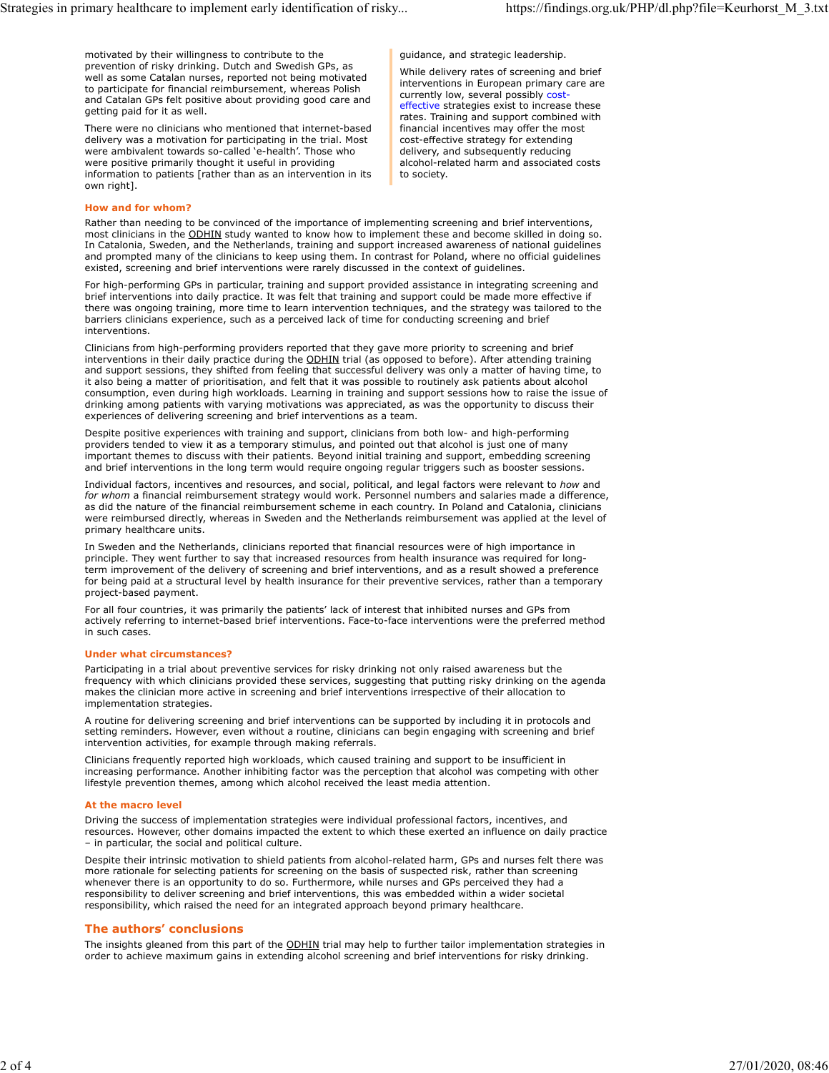motivated by their willingness to contribute to the prevention of risky drinking. Dutch and Swedish GPs, as well as some Catalan nurses, reported not being motivated to participate for financial reimbursement, whereas Polish and Catalan GPs felt positive about providing good care and getting paid for it as well.

There were no clinicians who mentioned that internet-based delivery was a motivation for participating in the trial. Most were ambivalent towards so-called 'e-health'. Those who were positive primarily thought it useful in providing information to patients [rather than as an intervention in its own right].

guidance, and strategic leadership.

While delivery rates of screening and brief interventions in European primary care are currently low, several possibly cost effective strategies exist to increase these rates. Training and support combined with financial incentives may offer the most cost-effective strategy for extending delivery, and subsequently reducing alcohol-related harm and associated costs to society.

# How and for whom?

Rather than needing to be convinced of the importance of implementing screening and brief interventions, most clinicians in the ODHIN study wanted to know how to implement these and become skilled in doing so. In Catalonia, Sweden, and the Netherlands, training and support increased awareness of national guidelines and prompted many of the clinicians to keep using them. In contrast for Poland, where no official guidelines existed, screening and brief interventions were rarely discussed in the context of guidelines.

For high-performing GPs in particular, training and support provided assistance in integrating screening and brief interventions into daily practice. It was felt that training and support could be made more effective if there was ongoing training, more time to learn intervention techniques, and the strategy was tailored to the barriers clinicians experience, such as a perceived lack of time for conducting screening and brief interventions.

Clinicians from high-performing providers reported that they gave more priority to screening and brief interventions in their daily practice during the ODHIN trial (as opposed to before). After attending training and support sessions, they shifted from feeling that successful delivery was only a matter of having time, to it also being a matter of prioritisation, and felt that it was possible to routinely ask patients about alcohol consumption, even during high workloads. Learning in training and support sessions how to raise the issue of drinking among patients with varying motivations was appreciated, as was the opportunity to discuss their experiences of delivering screening and brief interventions as a team.

Despite positive experiences with training and support, clinicians from both low- and high-performing providers tended to view it as a temporary stimulus, and pointed out that alcohol is just one of many important themes to discuss with their patients. Beyond initial training and support, embedding screening and brief interventions in the long term would require ongoing regular triggers such as booster sessions.

Individual factors, incentives and resources, and social, political, and legal factors were relevant to how and for whom a financial reimbursement strategy would work. Personnel numbers and salaries made a difference, as did the nature of the financial reimbursement scheme in each country. In Poland and Catalonia, clinicians were reimbursed directly, whereas in Sweden and the Netherlands reimbursement was applied at the level of primary healthcare units.

In Sweden and the Netherlands, clinicians reported that financial resources were of high importance in principle. They went further to say that increased resources from health insurance was required for longterm improvement of the delivery of screening and brief interventions, and as a result showed a preference for being paid at a structural level by health insurance for their preventive services, rather than a temporary project-based payment.

For all four countries, it was primarily the patients' lack of interest that inhibited nurses and GPs from actively referring to internet-based brief interventions. Face-to-face interventions were the preferred method in such cases.

## Under what circumstances?

Participating in a trial about preventive services for risky drinking not only raised awareness but the frequency with which clinicians provided these services, suggesting that putting risky drinking on the agenda makes the clinician more active in screening and brief interventions irrespective of their allocation to implementation strategies.

A routine for delivering screening and brief interventions can be supported by including it in protocols and setting reminders. However, even without a routine, clinicians can begin engaging with screening and brief intervention activities, for example through making referrals.

Clinicians frequently reported high workloads, which caused training and support to be insufficient in increasing performance. Another inhibiting factor was the perception that alcohol was competing with other lifestyle prevention themes, among which alcohol received the least media attention.

## At the macro level

Driving the success of implementation strategies were individual professional factors, incentives, and resources. However, other domains impacted the extent to which these exerted an influence on daily practice – in particular, the social and political culture.

Despite their intrinsic motivation to shield patients from alcohol-related harm, GPs and nurses felt there was more rationale for selecting patients for screening on the basis of suspected risk, rather than screening whenever there is an opportunity to do so. Furthermore, while nurses and GPs perceived they had a responsibility to deliver screening and brief interventions, this was embedded within a wider societal responsibility, which raised the need for an integrated approach beyond primary healthcare.

# The authors' conclusions

The insights gleaned from this part of the ODHIN trial may help to further tailor implementation strategies in order to achieve maximum gains in extending alcohol screening and brief interventions for risky drinking.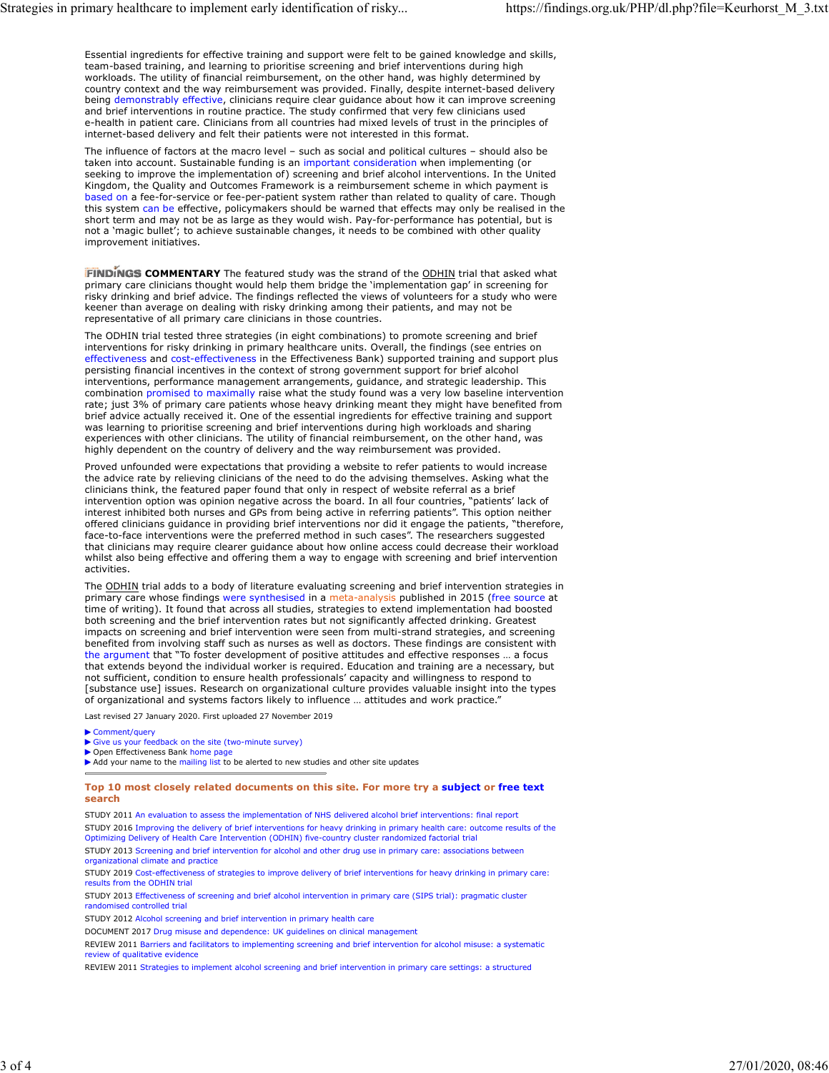Essential ingredients for effective training and support were felt to be gained knowledge and skills, team-based training, and learning to prioritise screening and brief interventions during high workloads. The utility of financial reimbursement, on the other hand, was highly determined by country context and the way reimbursement was provided. Finally, despite internet-based delivery being demonstrably effective, clinicians require clear guidance about how it can improve screening and brief interventions in routine practice. The study confirmed that very few clinicians used e-health in patient care. Clinicians from all countries had mixed levels of trust in the principles of internet-based delivery and felt their patients were not interested in this format.

The influence of factors at the macro level – such as social and political cultures – should also be taken into account. Sustainable funding is an important consideration when implementing (or seeking to improve the implementation of) screening and brief alcohol interventions. In the United Kingdom, the Quality and Outcomes Framework is a reimbursement scheme in which payment is based on a fee-for-service or fee-per-patient system rather than related to quality of care. Though this system can be effective, policymakers should be warned that effects may only be realised in the short term and may not be as large as they would wish. Pay-for-performance has potential, but is not a 'magic bullet'; to achieve sustainable changes, it needs to be combined with other quality improvement initiatives.

FINDINGS COMMENTARY The featured study was the strand of the ODHIN trial that asked what primary care clinicians thought would help them bridge the 'implementation gap' in screening for risky drinking and brief advice. The findings reflected the views of volunteers for a study who were keener than average on dealing with risky drinking among their patients, and may not be representative of all primary care clinicians in those countries.

The ODHIN trial tested three strategies (in eight combinations) to promote screening and brief interventions for risky drinking in primary healthcare units. Overall, the findings (see entries on effectiveness and cost-effectiveness in the Effectiveness Bank) supported training and support plus persisting financial incentives in the context of strong government support for brief alcohol interventions, performance management arrangements, guidance, and strategic leadership. This combination promised to maximally raise what the study found was a very low baseline intervention rate; just 3% of primary care patients whose heavy drinking meant they might have benefited from brief advice actually received it. One of the essential ingredients for effective training and support was learning to prioritise screening and brief interventions during high workloads and sharing experiences with other clinicians. The utility of financial reimbursement, on the other hand, was highly dependent on the country of delivery and the way reimbursement was provided.

Proved unfounded were expectations that providing a website to refer patients to would increase the advice rate by relieving clinicians of the need to do the advising themselves. Asking what the clinicians think, the featured paper found that only in respect of website referral as a brief intervention option was opinion negative across the board. In all four countries, "patients' lack of interest inhibited both nurses and GPs from being active in referring patients". This option neither offered clinicians guidance in providing brief interventions nor did it engage the patients, "therefore, face-to-face interventions were the preferred method in such cases". The researchers suggested that clinicians may require clearer guidance about how online access could decrease their workload whilst also being effective and offering them a way to engage with screening and brief intervention activities.

The ODHIN trial adds to a body of literature evaluating screening and brief intervention strategies in primary care whose findings were synthesised in a meta-analysis published in 2015 (free source at time of writing). It found that across all studies, strategies to extend implementation had boosted both screening and the brief intervention rates but not significantly affected drinking. Greatest impacts on screening and brief intervention were seen from multi-strand strategies, and screening benefited from involving staff such as nurses as well as doctors. These findings are consistent with the argument that "To foster development of positive attitudes and effective responses … a focus that extends beyond the individual worker is required. Education and training are a necessary, but not sufficient, condition to ensure health professionals' capacity and willingness to respond to [substance use] issues. Research on organizational culture provides valuable insight into the types of organizational and systems factors likely to influence … attitudes and work practice."

Last revised 27 January 2020. First uploaded 27 November 2019

Comment/query Give us your feedback on the site (two-minute survey)

▶ Open Effectiveness Bank home page

Add your name to the mailing list to be alerted to new studies and other site updates

#### Top 10 most closely related documents on this site. For more try a subject or free text search and the contract of the contract of the contract of the contract of the contract of the contract of the

STUDY 2011 An evaluation to assess the implementation of NHS delivered alcohol brief interventions: final report STUDY 2016 Improving the delivery of brief interventions for heavy drinking in primary health care: outcome results of the<br>Optimizing Delivery of Health Care Intervention (ODHIN) five-country cluster randomized factorial t STUDY 2013 Screening and brief intervention for alcohol and other drug use in primary care: associations between organizational climate and practice

STUDY 2019 Cost-effectiveness of strategies to improve delivery of brief interventions for heavy drinking in primary care: results from the ODHIN trial

STUDY 2013 Effectiveness of screening and brief alcohol intervention in primary care (SIPS trial): pragmatic cluster randomised controlled trial

STUDY 2012 Alcohol screening and brief intervention in primary health care

DOCUMENT 2017 Drug misuse and dependence: UK guidelines on clinical management

REVIEW 2011 Barriers and facilitators to implementing screening and brief intervention for alcohol misuse: a systematic review of qualitative evidence

REVIEW 2011 Strategies to implement alcohol screening and brief intervention in primary care settings: a structured